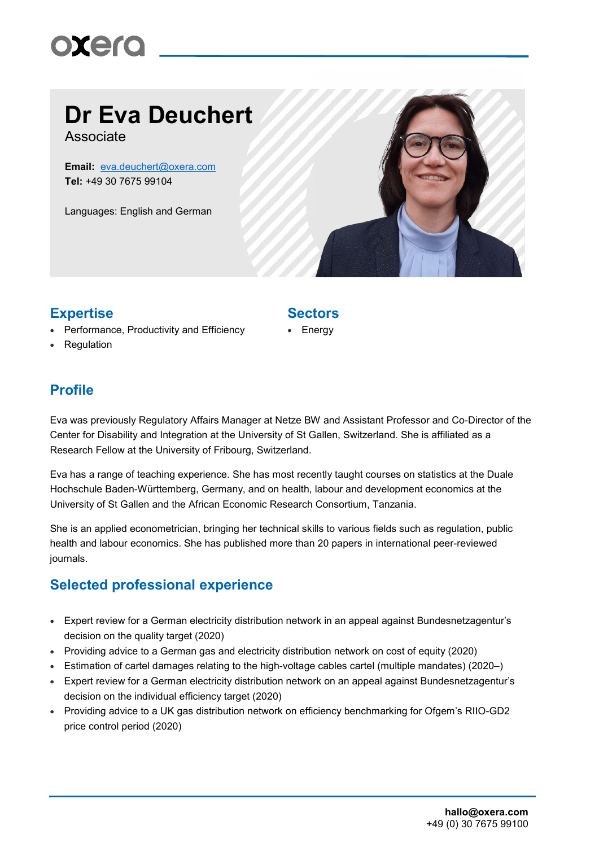# **Dr Eva Deuchert**

Associate

**Email:** [eva.deuchert@oxera.com](mailto:eva.deuchert@oxera.com) **Tel:** +49 30 7675 99104

Languages: English and German



## **Expertise Sectors**

- Performance, Productivity and Efficiency
- Regulation

**Energy** 

### **Profile**

Eva was previously Regulatory Affairs Manager at Netze BW and Assistant Professor and Co-Director of the Center for Disability and Integration at the University of St Gallen, Switzerland. She is affiliated as a Research Fellow at the University of Fribourg, Switzerland.

Eva has a range of teaching experience. She has most recently taught courses on statistics at the Duale Hochschule Baden-Württemberg, Germany, and on health, labour and development economics at the University of St Gallen and the African Economic Research Consortium, Tanzania.

She is an applied econometrician, bringing her technical skills to various fields such as regulation, public health and labour economics. She has published more than 20 papers in international peer-reviewed journals.

### **Selected professional experience**

- Expert review for a German electricity distribution network in an appeal against Bundesnetzagentur's decision on the quality target (2020)
- Providing advice to a German gas and electricity distribution network on cost of equity (2020)
- Estimation of cartel damages relating to the high-voltage cables cartel (multiple mandates) (2020–)
- Expert review for a German electricity distribution network on an appeal against Bundesnetzagentur's decision on the individual efficiency target (2020)
- Providing advice to a UK gas distribution network on efficiency benchmarking for Ofgem's RIIO-GD2 price control period (2020)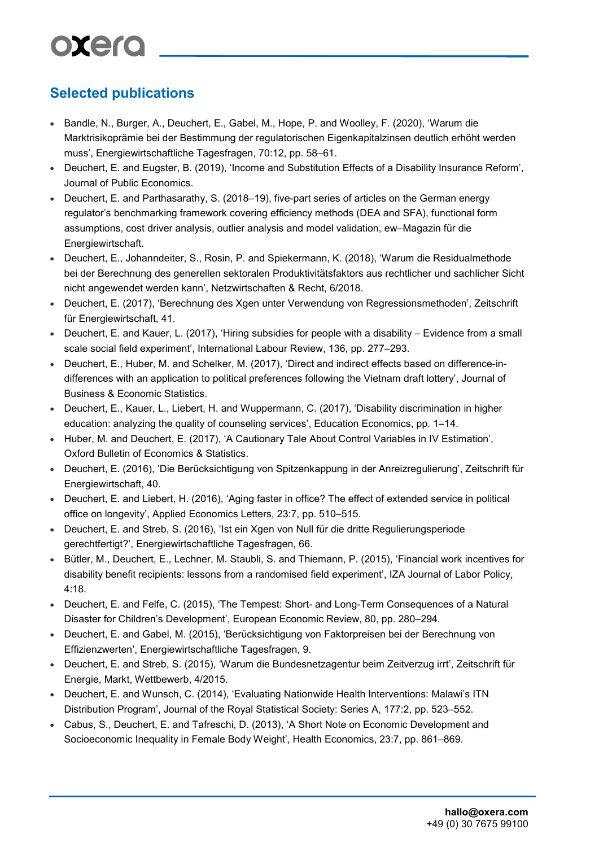# **Selected publications**

- Bandle, N., Burger, A., Deuchert, E., Gabel, M., Hope, P. and Woolley, F. (2020), 'Warum die Marktrisikoprämie bei der Bestimmung der regulatorischen Eigenkapitalzinsen deutlich erhöht werden muss', Energiewirtschaftliche Tagesfragen, 70:12, pp. 58–61.
- Deuchert, E. and Eugster, B. (2019), 'Income and Substitution Effects of a Disability Insurance Reform', Journal of Public Economics.
- Deuchert, E. and Parthasarathy, S. (2018–19), five-part series of articles on the German energy regulator's benchmarking framework covering efficiency methods (DEA and SFA), functional form assumptions, cost driver analysis, outlier analysis and model validation, ew–Magazin für die Energiewirtschaft.
- Deuchert, E., Johanndeiter, S., Rosin, P. and Spiekermann, K. (2018), 'Warum die Residualmethode bei der Berechnung des generellen sektoralen Produktivitätsfaktors aus rechtlicher und sachlicher Sicht nicht angewendet werden kann', Netzwirtschaften & Recht, 6/2018.
- Deuchert, E. (2017), 'Berechnung des Xgen unter Verwendung von Regressionsmethoden', Zeitschrift für Energiewirtschaft, 41.
- Deuchert, E. and Kauer, L. (2017), 'Hiring subsidies for people with a disability Evidence from a small scale social field experiment', International Labour Review, 136, pp. 277–293.
- Deuchert, E., Huber, M. and Schelker, M. (2017), 'Direct and indirect effects based on difference-indifferences with an application to political preferences following the Vietnam draft lottery', Journal of Business & Economic Statistics.
- Deuchert, E., Kauer, L., Liebert, H. and Wuppermann, C. (2017), 'Disability discrimination in higher education: analyzing the quality of counseling services', Education Economics, pp. 1–14.
- Huber, M. and Deuchert, E. (2017), 'A Cautionary Tale About Control Variables in IV Estimation', Oxford Bulletin of Economics & Statistics.
- Deuchert, E. (2016), 'Die Berücksichtigung von Spitzenkappung in der Anreizregulierung', Zeitschrift für Energiewirtschaft, 40.
- Deuchert, E. and Liebert, H. (2016), 'Aging faster in office? The effect of extended service in political office on longevity', Applied Economics Letters, 23:7, pp. 510–515.
- Deuchert, E. and Streb, S. (2016), 'Ist ein Xgen von Null für die dritte Regulierungsperiode gerechtfertigt?', Energiewirtschaftliche Tagesfragen, 66.
- Bütler, M., Deuchert, E., Lechner, M. Staubli, S. and Thiemann, P. (2015), 'Financial work incentives for disability benefit recipients: lessons from a randomised field experiment', IZA Journal of Labor Policy, 4:18.
- Deuchert, E. and Felfe, C. (2015), 'The Tempest: Short- and Long-Term Consequences of a Natural Disaster for Children's Development', European Economic Review, 80, pp. 280–294.
- Deuchert, E. and Gabel, M. (2015), 'Berücksichtigung von Faktorpreisen bei der Berechnung von Effizienzwerten', Energiewirtschaftliche Tagesfragen, 9.
- Deuchert, E. and Streb, S. (2015), 'Warum die Bundesnetzagentur beim Zeitverzug irrt', Zeitschrift für Energie, Markt, Wettbewerb, 4/2015.
- Deuchert, E. and Wunsch, C. (2014), 'Evaluating Nationwide Health Interventions: Malawi's ITN Distribution Program', Journal of the Royal Statistical Society: Series A, 177:2, pp. 523–552.
- Cabus, S., Deuchert, E. and Tafreschi, D. (2013), 'A Short Note on Economic Development and Socioeconomic Inequality in Female Body Weight', Health Economics, 23:7, pp. 861–869.